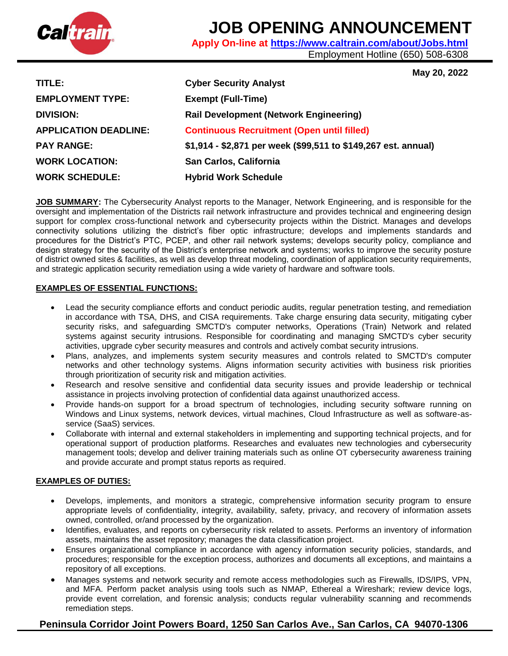

# **JOB OPENING ANNOUNCEMENT**

**Apply On-line at<https://www.caltrain.com/about/Jobs.html>**

Employment Hotline (650) 508-6308

**May 20, 2022** 

| TITLE:                       | <b>Cyber Security Analyst</b>                                  |
|------------------------------|----------------------------------------------------------------|
| <b>EMPLOYMENT TYPE:</b>      | <b>Exempt (Full-Time)</b>                                      |
| <b>DIVISION:</b>             | <b>Rail Development (Network Engineering)</b>                  |
| <b>APPLICATION DEADLINE:</b> | <b>Continuous Recruitment (Open until filled)</b>              |
| <b>PAY RANGE:</b>            | \$1,914 - \$2,871 per week (\$99,511 to \$149,267 est. annual) |
| <b>WORK LOCATION:</b>        | San Carlos, California                                         |
| <b>WORK SCHEDULE:</b>        | <b>Hybrid Work Schedule</b>                                    |

**JOB SUMMARY:** The Cybersecurity Analyst reports to the Manager, Network Engineering, and is responsible for the oversight and implementation of the Districts rail network infrastructure and provides technical and engineering design support for complex cross-functional network and cybersecurity projects within the District. Manages and develops connectivity solutions utilizing the district's fiber optic infrastructure; develops and implements standards and procedures for the District's PTC, PCEP, and other rail network systems; develops security policy, compliance and design strategy for the security of the District's enterprise network and systems; works to improve the security posture of district owned sites & facilities, as well as develop threat modeling, coordination of application security requirements, and strategic application security remediation using a wide variety of hardware and software tools.

## **EXAMPLES OF ESSENTIAL FUNCTIONS:**

- Lead the security compliance efforts and conduct periodic audits, regular penetration testing, and remediation in accordance with TSA, DHS, and CISA requirements. Take charge ensuring data security, mitigating cyber security risks, and safeguarding SMCTD's computer networks, Operations (Train) Network and related systems against security intrusions. Responsible for coordinating and managing SMCTD's cyber security activities, upgrade cyber security measures and controls and actively combat security intrusions.
- Plans, analyzes, and implements system security measures and controls related to SMCTD's computer networks and other technology systems. Aligns information security activities with business risk priorities through prioritization of security risk and mitigation activities.
- Research and resolve sensitive and confidential data security issues and provide leadership or technical assistance in projects involving protection of confidential data against unauthorized access.
- Provide hands-on support for a broad spectrum of technologies, including security software running on Windows and Linux systems, network devices, virtual machines, Cloud Infrastructure as well as software-asservice (SaaS) services.
- Collaborate with internal and external stakeholders in implementing and supporting technical projects, and for operational support of production platforms. Researches and evaluates new technologies and cybersecurity management tools; develop and deliver training materials such as online OT cybersecurity awareness training and provide accurate and prompt status reports as required.

## **EXAMPLES OF DUTIES:**

- Develops, implements, and monitors a strategic, comprehensive information security program to ensure appropriate levels of confidentiality, integrity, availability, safety, privacy, and recovery of information assets owned, controlled, or/and processed by the organization.
- Identifies, evaluates, and reports on cybersecurity risk related to assets. Performs an inventory of information assets, maintains the asset repository; manages the data classification project.
- Ensures organizational compliance in accordance with agency information security policies, standards, and procedures; responsible for the exception process, authorizes and documents all exceptions, and maintains a repository of all exceptions.
- Manages systems and network security and remote access methodologies such as Firewalls, IDS/IPS, VPN, and MFA. Perform packet analysis using tools such as NMAP, Ethereal a Wireshark; review device logs, provide event correlation, and forensic analysis; conducts regular vulnerability scanning and recommends remediation steps.

## **Peninsula Corridor Joint Powers Board, 1250 San Carlos Ave., San Carlos, CA 94070-1306**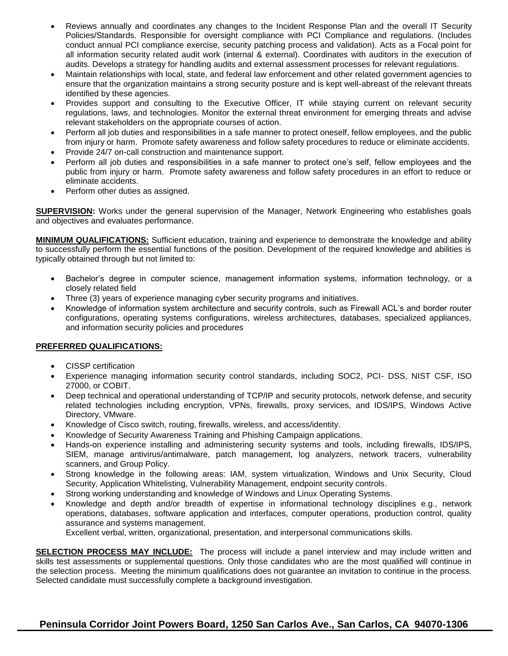- Reviews annually and coordinates any changes to the Incident Response Plan and the overall IT Security Policies/Standards. Responsible for oversight compliance with PCI Compliance and regulations. (Includes conduct annual PCI compliance exercise, security patching process and validation). Acts as a Focal point for all information security related audit work (internal & external). Coordinates with auditors in the execution of audits. Develops a strategy for handling audits and external assessment processes for relevant regulations.
- Maintain relationships with local, state, and federal law enforcement and other related government agencies to ensure that the organization maintains a strong security posture and is kept well-abreast of the relevant threats identified by these agencies.
- Provides support and consulting to the Executive Officer, IT while staying current on relevant security regulations, laws, and technologies. Monitor the external threat environment for emerging threats and advise relevant stakeholders on the appropriate courses of action.
- Perform all job duties and responsibilities in a safe manner to protect oneself, fellow employees, and the public from injury or harm. Promote safety awareness and follow safety procedures to reduce or eliminate accidents.
- Provide 24/7 on-call construction and maintenance support.
- Perform all job duties and responsibilities in a safe manner to protect one's self, fellow employees and the public from injury or harm. Promote safety awareness and follow safety procedures in an effort to reduce or eliminate accidents.
- Perform other duties as assigned.

**SUPERVISION:** Works under the general supervision of the Manager, Network Engineering who establishes goals and objectives and evaluates performance.

**MINIMUM QUALIFICATIONS:** Sufficient education, training and experience to demonstrate the knowledge and ability to successfully perform the essential functions of the position. Development of the required knowledge and abilities is typically obtained through but not limited to:

- Bachelor's degree in computer science, management information systems, information technology, or a closely related field
- Three (3) years of experience managing cyber security programs and initiatives.
- Knowledge of information system architecture and security controls, such as Firewall ACL's and border router configurations, operating systems configurations, wireless architectures, databases, specialized appliances, and information security policies and procedures

## **PREFERRED QUALIFICATIONS:**

- CISSP certification
- Experience managing information security control standards, including SOC2, PCI- DSS, NIST CSF, ISO 27000, or COBIT.
- Deep technical and operational understanding of TCP/IP and security protocols, network defense, and security related technologies including encryption, VPNs, firewalls, proxy services, and IDS/IPS, Windows Active Directory, VMware.
- Knowledge of Cisco switch, routing, firewalls, wireless, and access/identity.
- Knowledge of Security Awareness Training and Phishing Campaign applications.
- Hands-on experience installing and administering security systems and tools, including firewalls, IDS/IPS, SIEM, manage antivirus/antimalware, patch management, log analyzers, network tracers, vulnerability scanners, and Group Policy.
- Strong knowledge in the following areas: IAM, system virtualization, Windows and Unix Security, Cloud Security, Application Whitelisting, Vulnerability Management, endpoint security controls.
- Strong working understanding and knowledge of Windows and Linux Operating Systems.
- Knowledge and depth and/or breadth of expertise in informational technology disciplines e.g., network operations, databases, software application and interfaces, computer operations, production control, quality assurance and systems management.

Excellent verbal, written, organizational, presentation, and interpersonal communications skills.

**SELECTION PROCESS MAY INCLUDE:** The process will include a panel interview and may include written and skills test assessments or supplemental questions. Only those candidates who are the most qualified will continue in the selection process. Meeting the minimum qualifications does not guarantee an invitation to continue in the process. Selected candidate must successfully complete a background investigation.

## **Peninsula Corridor Joint Powers Board, 1250 San Carlos Ave., San Carlos, CA 94070-1306**